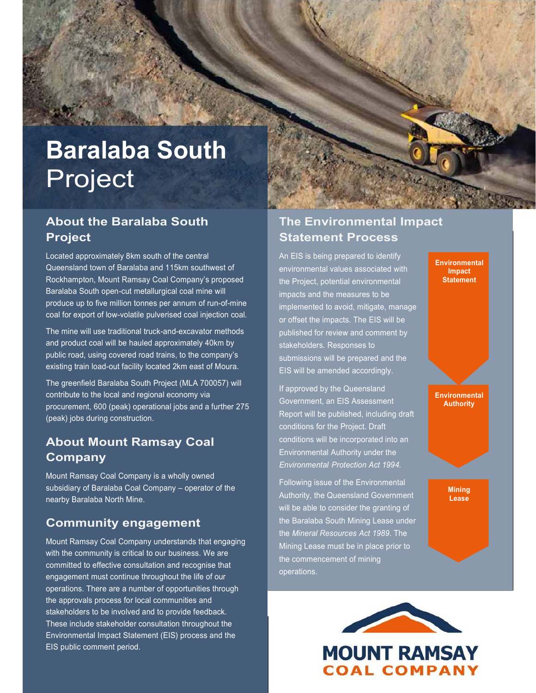# **Baralaba South** Project

#### **About the Baralaba South Project**

Located approximately 8km south of the central Queensland town of Baralaba and 115km southwest of Rockhampton, Mount Ramsay Coal Company's proposed Baralaba South open-cut metallurgical coal mine will produce up to five million tonnes per annum of run-of-mine coal for export of low-volatile pulverised coal injection coal.

The mine will use traditional truck-and-excavator methods and product coal will be hauled approximately 40km by public road, using covered road trains, to the company's existing train load-out facility located 2km east of Moura.

The greenfield Baralaba South Project (MLA 700057) will contribute to the local and regional economy via procurement, 600 (peak) operational jobs and a further 275 (peak) jobs during construction.

#### **About Mount Ramsay Coal Company**

Mount Ramsay Coal Company is a wholly owned subsidiary of Baralaba Coal Company – operator of the nearby Baralaba North Mine.

#### **Community engagement**

Mount Ramsay Coal Company understands that engaging with the community is critical to our business. We are committed to effective consultation and recognise that engagement must continue throughout the life of our operations. There are a number of opportunities through the approvals process for local communities and stakeholders to be involved and to provide feedback. These include stakeholder consultation throughout the Environmental Impact Statement (EIS) process and the EIS public comment period.

#### **The Environmental Impact Statement Process**

**Environmental Impact Statement** 

**Environmental Authority** 

> **Mining Lease**

An EIS is being prepared to identify environmental values associated with the Project, potential environmental impacts and the measures to be implemented to avoid, mitigate, manage or offset the impacts. The EIS will be published for review and comment by stakeholders. Responses to submissions will be prepared and the EIS will be amended accordingly.

If approved by the Queensland Government, an EIS Assessment Report will be published, including draft conditions for the Project. Draft conditions will be incorporated into an Environmental Authority under the *Environmental Protection Act 1994.* 

Following issue of the Environmental Authority, the Queensland Government will be able to consider the granting of the Baralaba South Mining Lease under the *Mineral Resources Act 1989*. The Mining Lease must be in place prior to the commencement of mining operations.